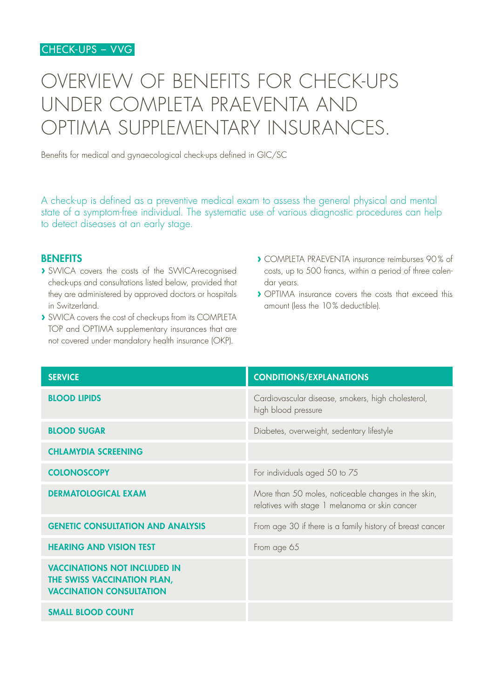## OVERVIEW OF BENEFITS FOR CHECK-UPS UNDER COMPLETA PRAEVENTA AND OPTIMA SUPPLEMENTARY INSURANCES.

Benefits for medical and gynaecological check-ups defined in GIC/SC

A check-up is defined as a preventive medical exam to assess the general physical and mental state of a symptom-free individual. The systematic use of various diagnostic procedures can help to detect diseases at an early stage.

## **BENEFITS**

- **›** SWICA covers the costs of the SWICA-recognised check-ups and consultations listed below, provided that they are administered by approved doctors or hospitals in Switzerland.
- **›** SWICA covers the cost of check-ups from its COMPLETA TOP and OPTIMA supplementary insurances that are not covered under mandatory health insurance (OKP).
- **›** COMPLETA PRAEVENTA insurance reimburses 90% of costs, up to 500 francs, within a period of three calendar years.
- **›** OPTIMA insurance covers the costs that exceed this amount (less the 10% deductible).

| <b>SERVICE</b>                                                                                        | <b>CONDITIONS/EXPLANATIONS</b>                                                                        |
|-------------------------------------------------------------------------------------------------------|-------------------------------------------------------------------------------------------------------|
| <b>BLOOD LIPIDS</b>                                                                                   | Cardiovascular disease, smokers, high cholesterol,<br>high blood pressure                             |
| <b>BLOOD SUGAR</b>                                                                                    | Diabetes, overweight, sedentary lifestyle                                                             |
| <b>CHLAMYDIA SCREENING</b>                                                                            |                                                                                                       |
| <b>COLONOSCOPY</b>                                                                                    | For individuals aged 50 to 75                                                                         |
| <b>DERMATOLOGICAL EXAM</b>                                                                            | More than 50 moles, noticeable changes in the skin,<br>relatives with stage 1 melanoma or skin cancer |
| <b>GENETIC CONSULTATION AND ANALYSIS</b>                                                              | From age 30 if there is a family history of breast cancer                                             |
| <b>HEARING AND VISION TEST</b>                                                                        | From age 65                                                                                           |
| <b>VACCINATIONS NOT INCLUDED IN</b><br>THE SWISS VACCINATION PLAN,<br><b>VACCINATION CONSULTATION</b> |                                                                                                       |
| <b>SMALL BLOOD COUNT</b>                                                                              |                                                                                                       |